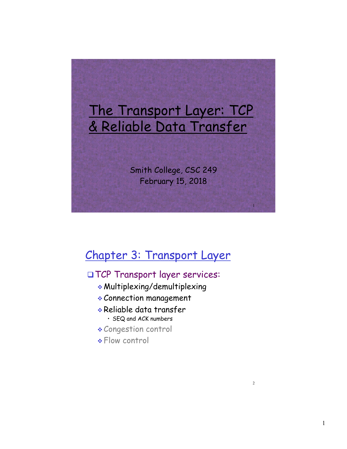

# Chapter 3: Transport Layer

#### qTCP Transport layer services:

- $*$  Multiplexing/demultiplexing
- \* Connection management
- v Reliable data transfer • SEQ and ACK numbers
- \* Congestion control
- \* Flow control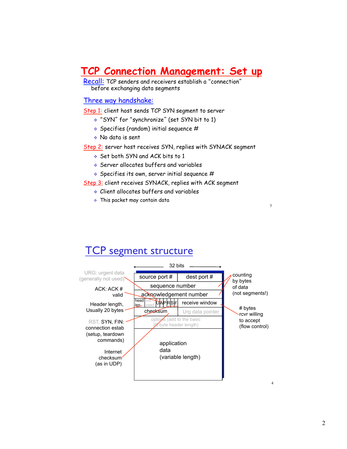## **TCP Connection Management: Set up**

Recall: TCP senders and receivers establish a "connection" before exchanging data segments

#### Three way handshake:

Step 1: client host sends TCP SYN segment to server

- v "SYN" for "synchronize" (set SYN bit to 1)
- $\triangleleft$  Specifies (random) initial sequence #
- v No data is sent

Step 2: server host receives SYN, replies with SYNACK segment

- v Set both SYN and ACK bits to 1
- v Server allocates buffers and variables
- $\triangleleft$  Specifies its own, server initial sequence #

Step 3: client receives SYNACK, replies with ACK segment

- $\cdot$  Client allocates buffers and variables
- $\cdot$  This packet may contain data

### TCP segment structure

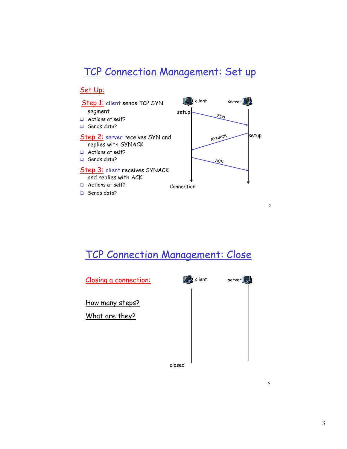## TCP Connection Management: Set up

#### Set Up:



### TCP Connection Management: Close



5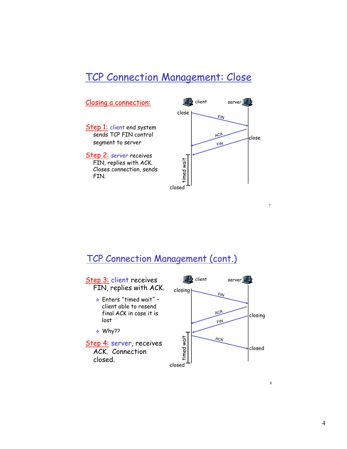### TCP Connection Management: Close



#### TCP Connection Management (cont.)



4

7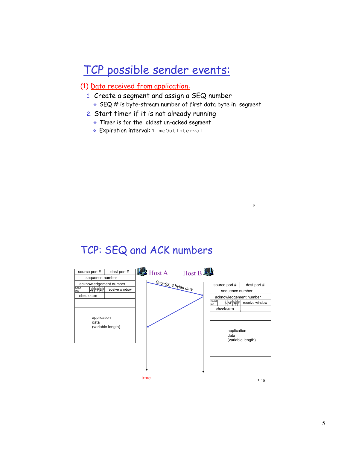# TCP possible sender events:

#### (1) Data received from application:

- 1. Create a segment and assign a SEQ number
	- $\cdot$  SEQ # is byte-stream number of first data byte in segment

9

- 2. Start timer if it is not already running
	- $\cdot$  Timer is for the oldest un-acked segment
	- \* Expiration interval: TimeOutInterval

## TCP: SEQ and ACK numbers

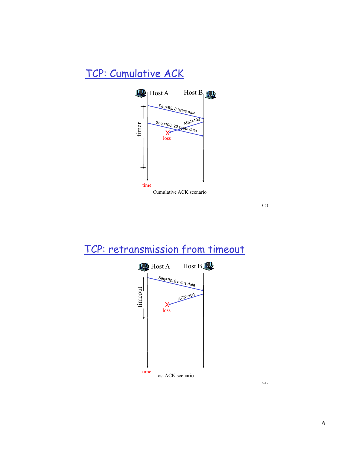# TCP: Cumulative ACK



3-11

# TCP: retransmission from timeout



3-12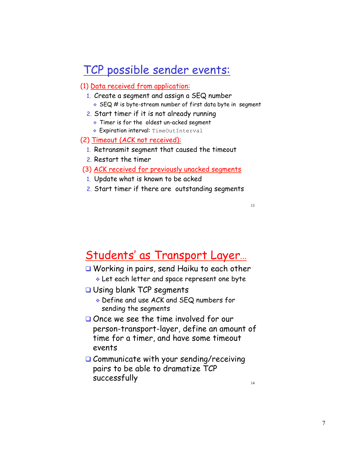# TCP possible sender events:

#### (1) Data received from application:

- 1. Create a segment and assign a SEQ number
	- $\cdot$  SEQ # is byte-stream number of first data byte in segment
- 2. Start timer if it is not already running
	- Timer is for the oldest un-acked segment
	- \* Expiration interval: TimeOutInterval

#### (2) Timeout (ACK not received):

- 1. Retransmit segment that caused the timeout
- 2. Restart the timer
- (3) ACK received for previously unacked segments
	- 1. Update what is known to be acked
	- 2. Start timer if there are outstanding segments

13

## Students' as Transport Layer…

- $\Box$  Working in pairs, send Haiku to each other  $\cdot$  Let each letter and space represent one byte
- $\Box$  Using blank TCP segments
	- v Define and use ACK and SEQ numbers for sending the segments
- $\Box$  Once we see the time involved for our person-transport-layer, define an amount of time for a timer, and have some timeout events
- $\Box$  Communicate with your sending/receiving pairs to be able to dramatize TCP  $successfully$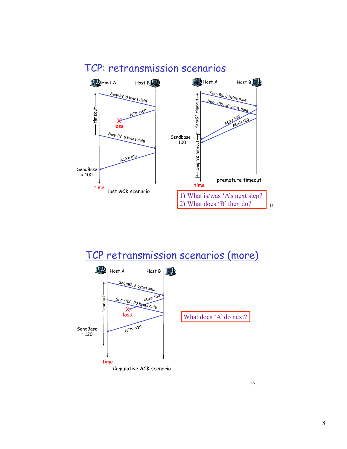

### TCP: retransmission scenarios



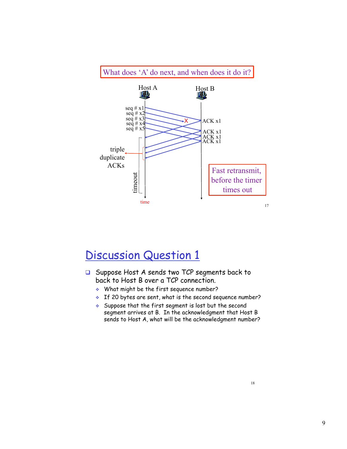

# Discussion Question 1

- □ Suppose Host A sends two TCP segments back to back to Host B over a TCP connection.
	- $\bullet$  What might be the first sequence number?
	- $\cdot$  If 20 bytes are sent, what is the second sequence number?
	- $\bullet$  Suppose that the first segment is lost but the second segment arrives at B. In the acknowledgment that Host B sends to Host A, what will be the acknowledgment number?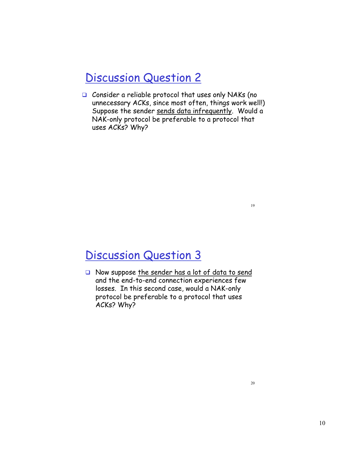# Discussion Question 2

 $\Box$  Consider a reliable protocol that uses only NAKs (no unnecessary ACKs, since most often, things work well!) Suppose the sender sends data infrequently. Would a NAK-only protocol be preferable to a protocol that uses ACKs? Why?

# Discussion Question 3

 $\Box$  Now suppose the sender has a lot of data to send and the end-to-end connection experiences few losses. In this second case, would a NAK-only protocol be preferable to a protocol that uses ACKs? Why?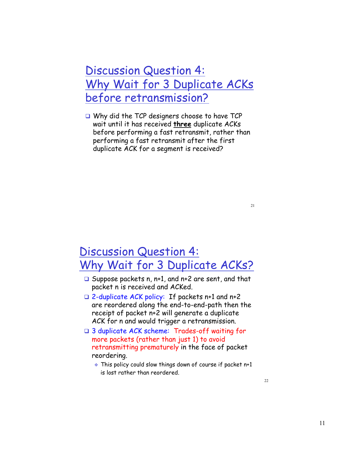# Discussion Question 4: Why Wait for 3 Duplicate ACKs before retransmission?

 $\Box$  Why did the TCP designers choose to have TCP wait until it has received **three** duplicate ACKs before performing a fast retransmit, rather than performing a fast retransmit after the first duplicate ACK for a segment is received?

## Discussion Question 4: Why Wait for 3 Duplicate ACKs?

- $\Box$  Suppose packets n, n+1, and n+2 are sent, and that packet n is received and ACKed.
- $\Box$  2-duplicate ACK policy: If packets n+1 and n+2 are reordered along the end-to-end-path then the receipt of packet n+2 will generate a duplicate ACK for n and would trigger a retransmission.
- $\Box$  3 duplicate ACK scheme: Trades-off waiting for more packets (rather than just 1) to avoid retransmitting prematurely in the face of packet reordering.
	- $\bullet$  This policy could slow things down of course if packet n+1 is lost rather than reordered.